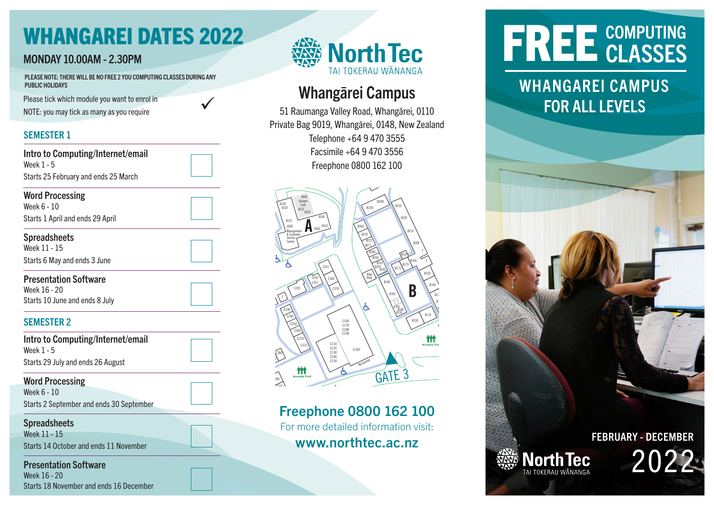# WHANGAREI DATES 2022

### **MONDAY 10.00AM - 2.30PM**

**D**

PLEASE NOTE: THERE WILL BE NO FREE 2 YOU COMPUTING CLASSES DURING ANY<br>PUBLIC HOLIDAYS PUBLIC HOLIDAYS

Please tick which module you want to enrol in  $\blacktriangledown$  and the set of the set of the set of the set of the set of the set of the set of the set of the set of the set of the set of the set of the set of the set of the set of NOTE: you may tick as many as you require  $\kappa$  as many as you require



GATE 4

#### SEMESTER 1

| Intro to Computing/Internet/email<br>Week 1 - 5                                |  |
|--------------------------------------------------------------------------------|--|
| Starts 25 February and ends 25 March                                           |  |
| <b>Word Processing</b><br>Week 6 - 10                                          |  |
| Starts 1 April and ends 29 April                                               |  |
| <b>Spreadsheets</b><br>Week 11 - 15                                            |  |
| Starts 6 May and ends 3 June                                                   |  |
| <b>Presentation Software</b><br>Week 16 - 20<br>Starts 10 June and ends 8 July |  |
| <b>SEMESTER 2</b>                                                              |  |
| Intro to Computing/Internet/email<br>Week 1 - 5                                |  |
| Starts 29 July and ends 26 August                                              |  |
| <b>Word Processing</b><br>Week 6 - 10                                          |  |
| Starts 2 September and ends 30 September                                       |  |

GATE 1

**Spreadsheets** Week 11 - 15 Starts 14 October and ends 11 November

Presentation Software Week 16 - 20 Starts 18 November and ends 16 December



#### **Whangarei** 'nang  $\overline{\phantom{a}}$   $\overline{\phantom{a}}$

Private Bag 9019, Whangārei, 0148, New Zealand Telephone +64 9 470 3555 Facsimile +64 9 470 3556 Freephone 0800 162 100 51 Raumanga Valley Private Bag 9019 Whangarei 014 019, Whangārei, 0148, N Whangā nga Valley Road, Whangārei, O



## Freephone 0800 162 100

For more detailed information visit: www.northtec.ac.nz

# FREE CLASSES

# WHANGAREI CAMPUS<br>FOR ALL LEVELS